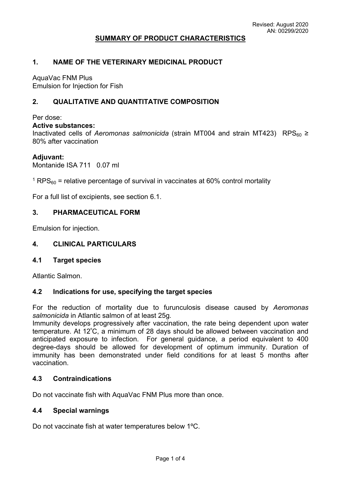## **SUMMARY OF PRODUCT CHARACTERISTICS**

### **1. NAME OF THE VETERINARY MEDICINAL PRODUCT**

AquaVac FNM Plus Emulsion for Injection for Fish

## **2. QUALITATIVE AND QUANTITATIVE COMPOSITION**

Per dose:

## **Active substances:**

Inactivated cells of *Aeromonas salmonicida* (strain MT004 and strain MT423) RPS<sub>60</sub> ≥ 80% after vaccination

#### **Adjuvant:**

Montanide ISA 711 0.07 ml

 $^{\rm 1}$  RPS $_{\rm 60}$  = relative percentage of survival in vaccinates at 60% control mortality

For a full list of excipients, see section 6.1.

## **3. PHARMACEUTICAL FORM**

Emulsion for injection.

#### **4. CLINICAL PARTICULARS**

#### **4.1 Target species**

Atlantic Salmon.

#### **4.2 Indications for use, specifying the target species**

For the reduction of mortality due to furunculosis disease caused by *Aeromonas salmonicida* in Atlantic salmon of at least 25g*.*

Immunity develops progressively after vaccination, the rate being dependent upon water temperature. At 12<sup>º</sup>C, a minimum of 28 days should be allowed between vaccination and anticipated exposure to infection. For general guidance, a period equivalent to 400 degree-days should be allowed for development of optimum immunity. Duration of immunity has been demonstrated under field conditions for at least 5 months after vaccination.

#### **4.3 Contraindications**

Do not vaccinate fish with AquaVac FNM Plus more than once.

## **4.4 Special warnings**

Do not vaccinate fish at water temperatures below 1ºC.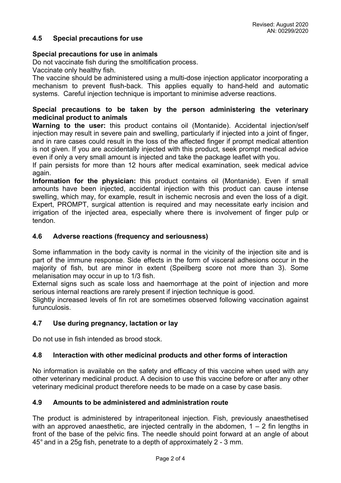## **4.5 Special precautions for use**

## **Special precautions for use in animals**

Do not vaccinate fish during the smoltification process.

Vaccinate only healthy fish.

The vaccine should be administered using a multi-dose injection applicator incorporating a mechanism to prevent flush-back. This applies equally to hand-held and automatic systems. Careful injection technique is important to minimise adverse reactions.

## **Special precautions to be taken by the person administering the veterinary medicinal product to animals**

**Warning to the user:** this product contains oil (Montanide). Accidental injection/self injection may result in severe pain and swelling, particularly if injected into a joint of finger, and in rare cases could result in the loss of the affected finger if prompt medical attention is not given. If you are accidentally injected with this product, seek prompt medical advice even if only a very small amount is injected and take the package leaflet with you.

If pain persists for more than 12 hours after medical examination, seek medical advice again.

**Information for the physician:** this product contains oil (Montanide). Even if small amounts have been injected, accidental injection with this product can cause intense swelling, which may, for example, result in ischemic necrosis and even the loss of a digit. Expert, PROMPT, surgical attention is required and may necessitate early incision and irrigation of the injected area, especially where there is involvement of finger pulp or tendon.

## **4.6 Adverse reactions (frequency and seriousness)**

Some inflammation in the body cavity is normal in the vicinity of the injection site and is part of the immune response. Side effects in the form of visceral adhesions occur in the majority of fish, but are minor in extent (Speilberg score not more than 3). Some melanisation may occur in up to 1/3 fish.

External signs such as scale loss and haemorrhage at the point of injection and more serious internal reactions are rarely present if injection technique is good.

Slightly increased levels of fin rot are sometimes observed following vaccination against furunculosis.

## **4.7 Use during pregnancy, lactation or lay**

Do not use in fish intended as brood stock.

#### **4.8 Interaction with other medicinal products and other forms of interaction**

No information is available on the safety and efficacy of this vaccine when used with any other veterinary medicinal product. A decision to use this vaccine before or after any other veterinary medicinal product therefore needs to be made on a case by case basis.

### **4.9 Amounts to be administered and administration route**

The product is administered by intraperitoneal injection. Fish, previously anaesthetised with an approved anaesthetic, are injected centrally in the abdomen,  $1 - 2$  fin lengths in front of the base of the pelvic fins. The needle should point forward at an angle of about 45° and in a 25g fish, penetrate to a depth of approximately 2 - 3 mm.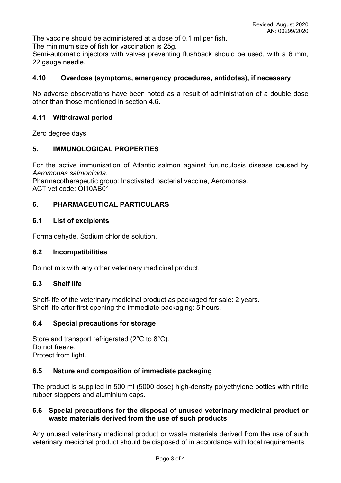The vaccine should be administered at a dose of 0.1 ml per fish.

The minimum size of fish for vaccination is 25g.

Semi-automatic injectors with valves preventing flushback should be used, with a 6 mm, 22 gauge needle.

### **4.10 Overdose (symptoms, emergency procedures, antidotes), if necessary**

No adverse observations have been noted as a result of administration of a double dose other than those mentioned in section 4.6.

## **4.11 Withdrawal period**

Zero degree days

## **5. IMMUNOLOGICAL PROPERTIES**

For the active immunisation of Atlantic salmon against furunculosis disease caused by *Aeromonas salmonicida.*

Pharmacotherapeutic group: Inactivated bacterial vaccine, Aeromonas. ACT vet code: QI10AB01

## **6. PHARMACEUTICAL PARTICULARS**

#### **6.1 List of excipients**

Formaldehyde, Sodium chloride solution.

#### **6.2 Incompatibilities**

Do not mix with any other veterinary medicinal product.

#### **6.3 Shelf life**

Shelf-life of the veterinary medicinal product as packaged for sale: 2 years. Shelf-life after first opening the immediate packaging: 5 hours.

## **6.4 Special precautions for storage**

Store and transport refrigerated (2°C to 8°C). Do not freeze. Protect from light.

## **6.5 Nature and composition of immediate packaging**

The product is supplied in 500 ml (5000 dose) high-density polyethylene bottles with nitrile rubber stoppers and aluminium caps.

## **6.6 Special precautions for the disposal of unused veterinary medicinal product or waste materials derived from the use of such products**

Any unused veterinary medicinal product or waste materials derived from the use of such veterinary medicinal product should be disposed of in accordance with local requirements.